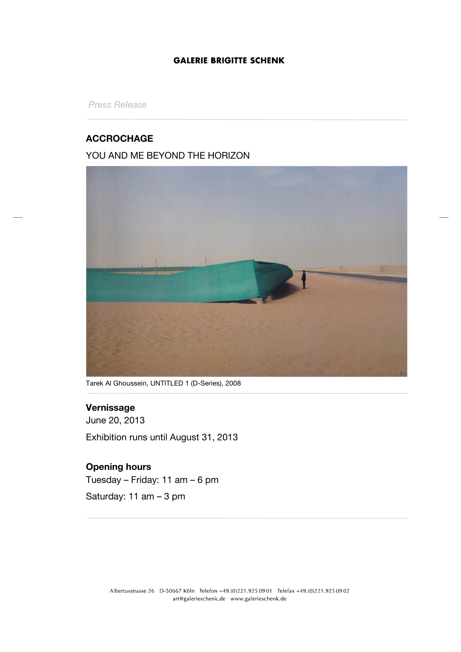## **GALERIE BRIGITTE SCHENK**

*Press Release*

## **ACCROCHAGE**

## YOU AND ME BEYOND THE HORIZON



Tarek Al Ghoussein, UNTITLED 1 (D-Series), 2008

## **Vernissage**

June 20, 2013 Exhibition runs until August 31, 2013

# **Opening hours**

Tuesday – Friday: 11 am – 6 pm

Saturday: 11 am – 3 pm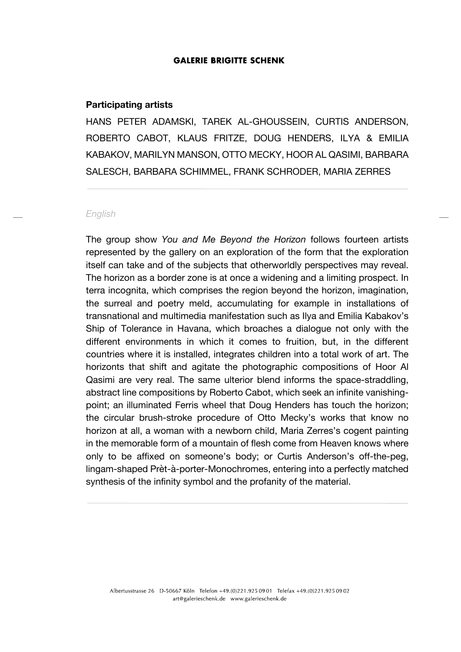#### **GALERIE BRIGITTE SCHENK**

#### **Participating artists**

HANS PETER ADAMSKI, TAREK AL-GHOUSSEIN, CURTIS ANDERSON, ROBERTO CABOT, KLAUS FRITZE, DOUG HENDERS, ILYA & EMILIA KABAKOV, MARILYN MANSON, OTTO MECKY, HOOR AL QASIMI, BARBARA SALESCH, BARBARA SCHIMMEL, FRANK SCHRODER, MARIA ZERRES

### *English*

The group show *You and Me Beyond the Horizon* follows fourteen artists represented by the gallery on an exploration of the form that the exploration itself can take and of the subjects that otherworldly perspectives may reveal. The horizon as a border zone is at once a widening and a limiting prospect. In terra incognita, which comprises the region beyond the horizon, imagination, the surreal and poetry meld, accumulating for example in installations of transnational and multimedia manifestation such as Ilya and Emilia Kabakov's Ship of Tolerance in Havana, which broaches a dialogue not only with the different environments in which it comes to fruition, but, in the different countries where it is installed, integrates children into a total work of art. The horizonts that shift and agitate the photographic compositions of Hoor Al Qasimi are very real. The same ulterior blend informs the space-straddling, abstract line compositions by Roberto Cabot, which seek an infinite vanishingpoint; an illuminated Ferris wheel that Doug Henders has touch the horizon; the circular brush-stroke procedure of Otto Mecky's works that know no horizon at all, a woman with a newborn child, Maria Zerres's cogent painting in the memorable form of a mountain of flesh come from Heaven knows where only to be affixed on someone's body; or Curtis Anderson's off-the-peg, lingam-shaped Prèt-à-porter-Monochromes, entering into a perfectly matched synthesis of the infinity symbol and the profanity of the material.